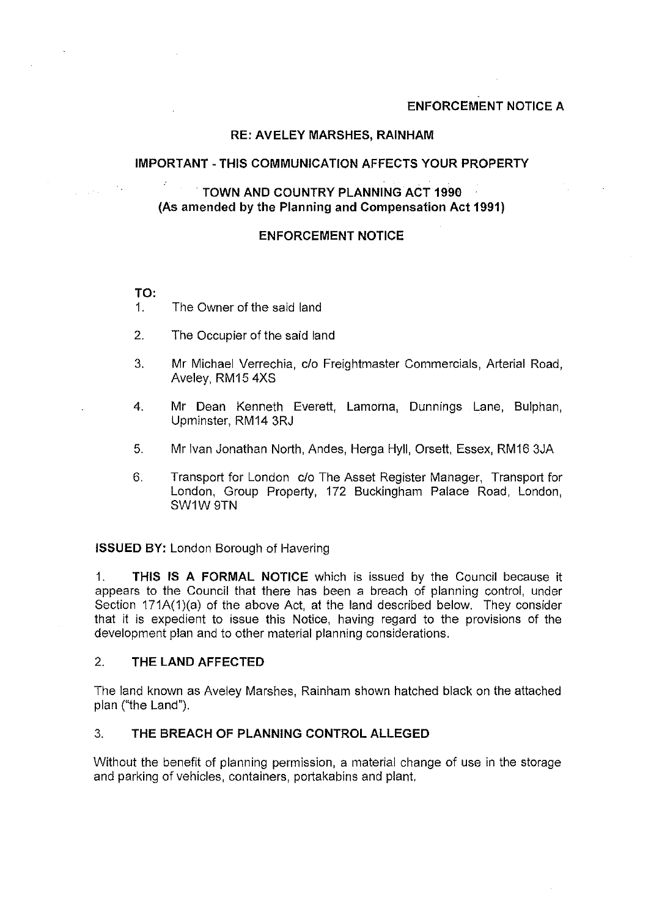# **ENFORCEMENT NOTICE A**

## **RE: AVELEY MARSHES, RAINHAM**

### **IMPORTANT-THIS COMMUNICATION AFFECTS YOUR PROPERTY**

# . **TOWN AND COUNTRY PLANNING ACT 1990** (As **amended by the Planning and Compensation Act 1991)**

### **ENFORCEMENT NOTICE**

**TO:** 

 $\sim$   $\sim$ 

- 1. The Owner of the said land
- 2. The Occupier of the said land
- 3. Mr Michael Verrechia, c/o Freightmaster Commercials, Arterial Road, Aveley, RM15 4XS
- 4. Mr Dean Kenneth Everett, Lamorna, Dunnings Lane, Bulphan, Upminster, RM14 3RJ
- 5. Mr Ivan Jonathan North, Andes, Herga Hyll, Orsett, Essex, RM16 3JA
- 6. Transport for London c/o The Asset Register Manager, Transport for London, Group Property, 172 Buckingham Palace Road, London, SW1W9TN

**ISSUED BY:** London Borough of Havering

1. **THIS IS A FORMAL NOTICE** which is issued by the Council because it appears to the Council that there has been a breach of planning control, under Section 171A(1)(a) of the above Act, at the land described below. They consider that it is expedient to issue this Notice, having regard to the provisions of the development plan and to other material planning considerations.

#### 2. **THE LAND AFFECTED**

The land known as Aveley Marshes, Rainham shown hatched black on the attached plan ("the Land").

## 3. **THE BREACH OF PLANNING CONTROL ALLEGED**

Without the benefit of planning permission, a material change of use in the storage and parking of vehicles, containers, portakabins and plant.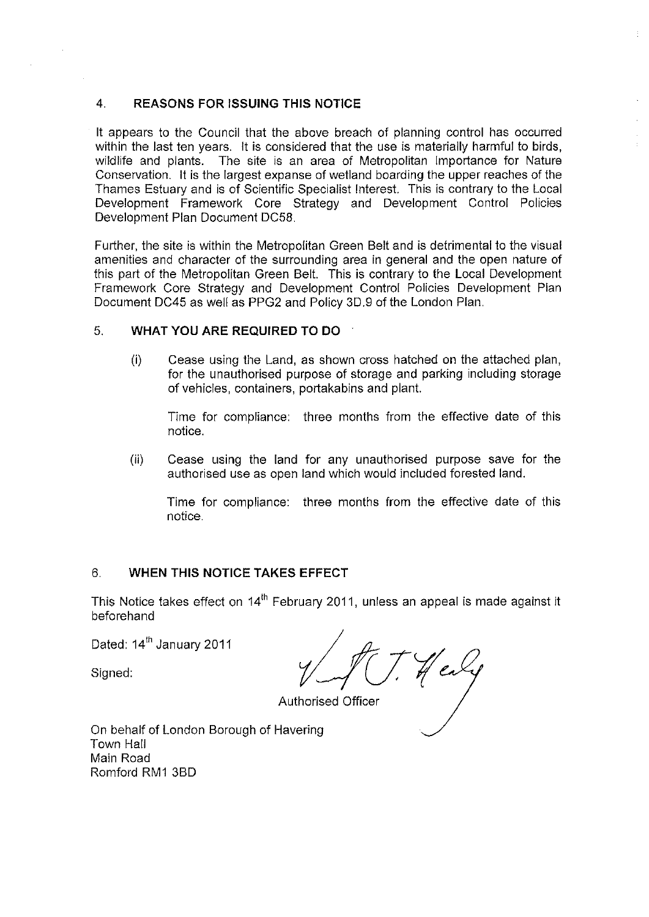# 4. **REASONS FOR ISSUING THIS NOTICE**

It appears to the Council that the above breach of planning control has occurred within the last ten years. It is considered that the use is materially harmful to birds, wildlife and plants. The site is an area of Metropolitan Importance for Nature Conservation. It is the largest expanse of wetland boarding the upper reaches of the Thames Estuary and is of Scientific Specialist Interest. This is contrary to the Local Development Framework Core Strategy and Development Control Policies Development Plan Document DC58.

Further, the site is within the Metropolitan Green Belt and is detrimental to the visual amenities and character of the surrounding area in general and the open nature of this part of the Metropolitan Green Belt. This is contrary to the Local Development Framework Core Strategy and Development Control Policies Development Plan Document DC45 as well as PPG2 and Policy 3D.9 of the London Plan.

## 5. **WHAT YOU ARE REQUIRED TO DO**

 $(i)$  Cease using the Land, as shown cross hatched on the attached plan, for the unauthorised purpose of storage and parking including storage of vehicles, containers, portakabins and plant.

Time for compliance: three months from the effective date of this notice.

(ii) Cease using the land for any unauthorised purpose save for the authorised use as open land which would included forested land.

Time for compliance: three months from the effective date of this notice.

## 6. **WHEN THIS NOTICE TAKES EFFECT**

This Notice takes effect on 14<sup>th</sup> February 2011, unless an appeal is made against it beforehand

Dated: 14<sup>th</sup> January 2011

Signed:

Authorised Officer

On behalf of London Borough of Havering Town Hall Main Road Romford RM1 3BD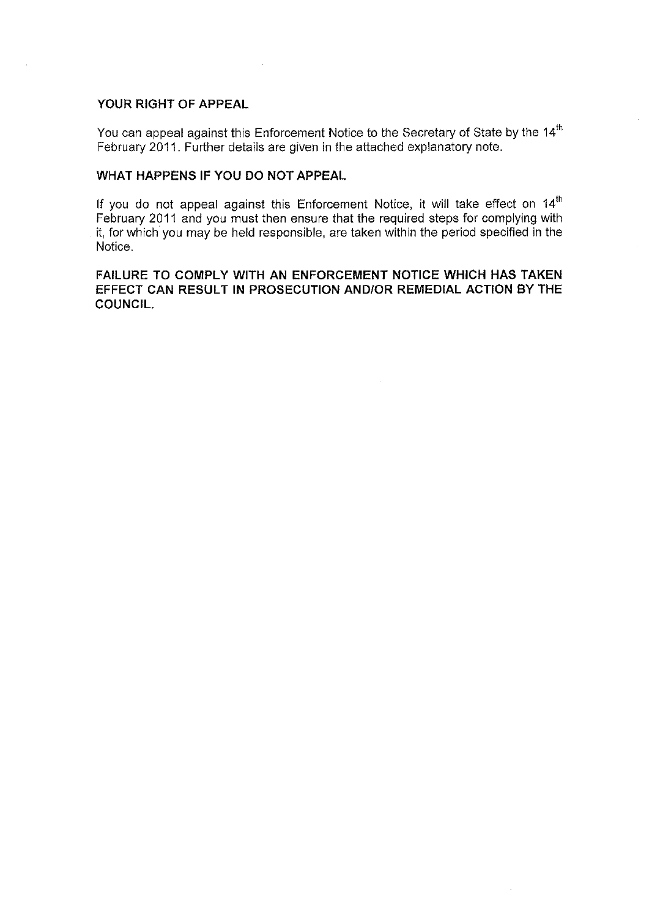## **YOUR RIGHT OF APPEAL**

You can appeal against this Enforcement Notice to the Secretary of State by the 14 $^{\rm th}$ February 2011. Further details are given in the attached explanatory note.

#### **WHAT HAPPENS IF YOU DO NOT APPEAL**

If you do not appeal against this Enforcement Notice, it will take effect on 14 $^{\rm th}$ February 2011 and you must then ensure that the required steps for complying with it, for which you may be held responsible, are taken within the period specified in the Notice.

# **FAILURE TO COMPLY WITH AN ENFORCEMENT NOTICE WHICH HAS TAKEN EFFECT CAN RESULT IN PROSECUTION AND/OR REMEDIAL ACTION BY THE COUNCIL.**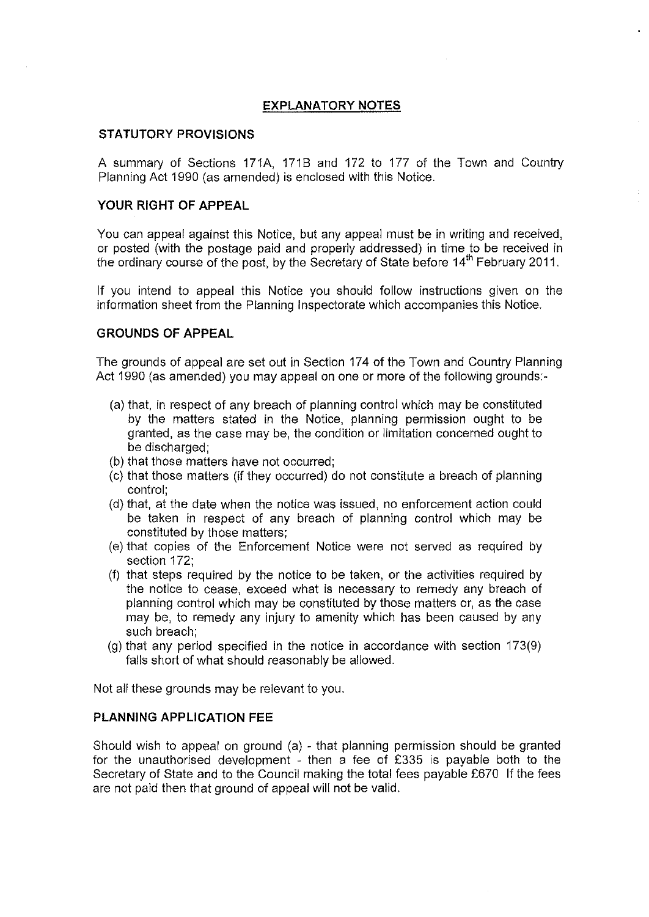# **EXPLANATORY NOTES**

### **STATUTORY PROVISIONS**

A summary of Sections 171A, 1718 and 172 to 177 of the Town and Country Planning Act 1990 (as amended) is enclosed with this Notice.

## **YOUR RIGHT OF APPEAL**

You can appeal against this Notice, but any appeal must be in writing and received, or posted (with the postage paid and properly addressed) in time to be received in the ordinary course of the post, by the Secretary of State before 14<sup>th</sup> February 2011.

If you intend to appeal this Notice you should follow instructions given on the information sheet from the Planning Inspectorate which accompanies this Notice.

### **GROUNDS OF APPEAL**

The grounds of appeal are set out in Section 174 of the Town and Country Planning Act 1990 (as amended) you may appeal on one or more of the following grounds:-

- (a) that, in respect of any breach of planning control which may be constituted by the matters stated in the Notice, planning permission ought to be granted, as the case may be, the condition or limitation concerned ought to be discharged;
- (b) that those matters have not occurred;
- (c) that those matters (if they occurred) do not constitute a breach of planning control;
- (d) that, at the date when the notice was issued, no enforcement action could be taken in respect of any breach of planning control which may be constituted by those matters;
- (e) that copies of the Enforcement Notice were not served as required by section 172;
- (f) that steps required by the notice to be taken, or the activities required by the notice to cease, exceed what is necessary to remedy any breach of planning control which may be constituted by those matters or, as the case may be, to remedy any injury to amenity which has been caused by any such breach;
- (g) that any period specified in the notice in accordance with section 173(9) falls short of what should reasonably be allowed.

Not all these grounds may be relevant to you.

### **PLANNING APPLICATION FEE**

Should wish to appeal on ground (a) - that planning permission should be granted for the unauthorised development - then a fee of £335 is payable both to the Secretary of State and to the Council making the total fees payable £670 If the fees are not paid then that ground of appeal will not be valid.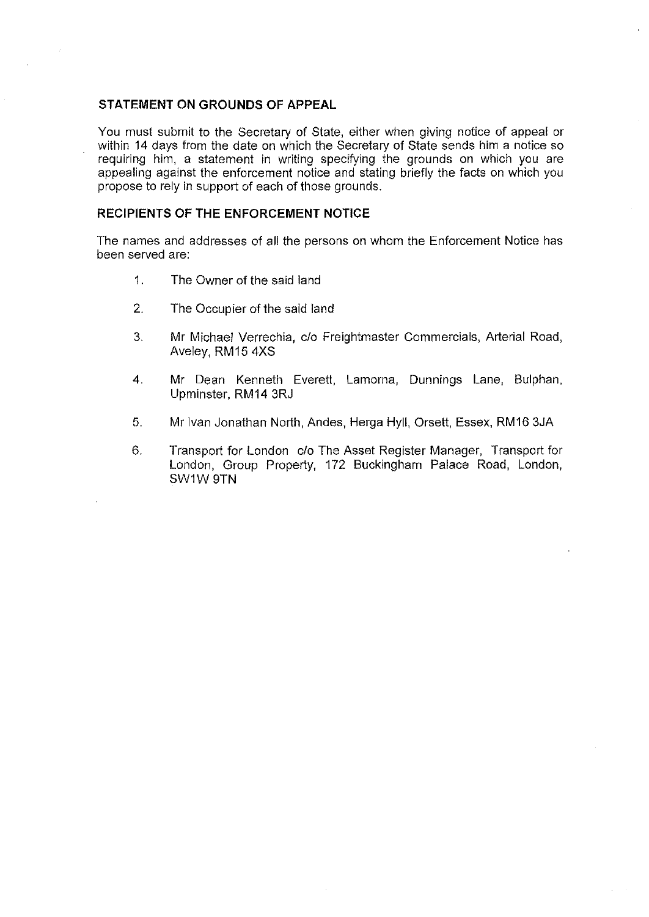#### **STATEMENT ON GROUNDS OF APPEAL**

You must submit to the Secretary of State, either when giving notice of appeal or within 14 days from the date on which the Secretary of State sends him a notice so requiring him, a statement in writing specifying the grounds on which you are appealing against the enforcement notice and stating briefly the facts on which you propose to rely in support of each of those grounds.

#### **RECIPIENTS OF THE ENFORCEMENT NOTICE**

The names and addresses of all the persons on whom the Enforcement Notice has been served are:

- 1. The Owner of the said land
- 2. The Occupier of the said land
- 3. Mr Michael Verrechia, c/o Freightmaster Commercials, Arterial Road, Aveley, RM15 4XS
- 4. Mr Dean Kenneth Everett, Lamorna, Dunnings Lane, Bulphan, Upminster, RM14 3RJ
- 5. Mr Ivan Jonathan North, Andes, Herga Hyll, Orsett, Essex, RM16 3JA
- 6. Transport for London c/o The Asset Register Manager, Transport for London, Group Property, 172 Buckingham Palace Road, London, SW1W 9TN